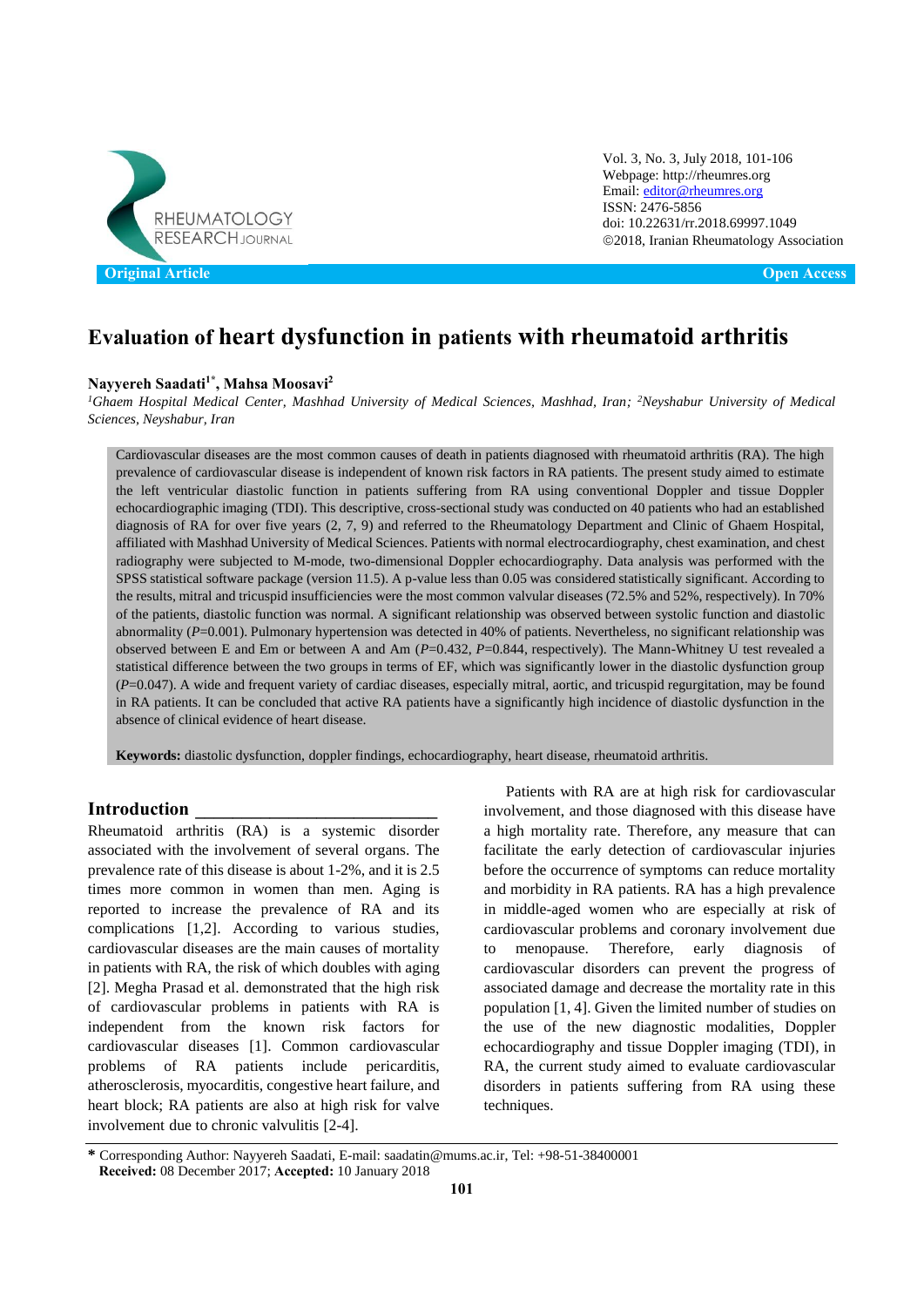

Vol. 3, No. 3, July 2018, 101-106 Webpage: http://rheumres.org Email[: editor@rheumres.org](mailto:editor@rheumres.org) ISSN: 2476-5856 doi[: 10.22631/rr.2018.69997.1049](http://dx.doi.org/10.22631/rr.2017.69997.1021) 2018, Iranian Rheumatology Association

# **Evaluation of heart dysfunction in patients with rheumatoid arthritis**

### **Nayyereh Saadati1\* , Mahsa Moosavi<sup>2</sup>**

*<sup>1</sup>Ghaem Hospital Medical Center, Mashhad University of Medical Sciences, Mashhad, Iran; <sup>2</sup>Neyshabur University of Medical Sciences, Neyshabur, Iran*

Cardiovascular diseases are the most common causes of death in patients diagnosed with rheumatoid arthritis (RA). The high prevalence of cardiovascular disease is independent of known risk factors in RA patients. The present study aimed to estimate the left ventricular diastolic function in patients suffering from RA using conventional Doppler and tissue Doppler echocardiographic imaging (TDI). This descriptive, cross-sectional study was conducted on 40 patients who had an established diagnosis of RA for over five years (2, 7, 9) and referred to the Rheumatology Department and Clinic of Ghaem Hospital, affiliated with Mashhad University of Medical Sciences. Patients with normal electrocardiography, chest examination, and chest radiography were subjected to M-mode, two-dimensional Doppler echocardiography. Data analysis was performed with the SPSS statistical software package (version 11.5). A p-value less than 0.05 was considered statistically significant. According to the results, mitral and tricuspid insufficiencies were the most common valvular diseases (72.5% and 52%, respectively). In 70% of the patients, diastolic function was normal. A significant relationship was observed between systolic function and diastolic abnormality (*P*=0.001). Pulmonary hypertension was detected in 40% of patients. Nevertheless, no significant relationship was observed between E and Em or between A and Am (*P*=0.432, *P*=0.844, respectively). The Mann-Whitney U test revealed a statistical difference between the two groups in terms of EF, which was significantly lower in the diastolic dysfunction group (*P*=0.047). A wide and frequent variety of cardiac diseases, especially mitral, aortic, and tricuspid regurgitation, may be found in RA patients. It can be concluded that active RA patients have a significantly high incidence of diastolic dysfunction in the absence of clinical evidence of heart disease.

**Keywords:** diastolic dysfunction, doppler findings, echocardiography, heart disease, rheumatoid arthritis.

### **Introduction \_\_\_\_\_\_\_\_\_\_\_\_\_\_\_\_\_\_\_\_\_\_\_\_\_\_**

Rheumatoid arthritis (RA) is a systemic disorder associated with the involvement of several organs. The prevalence rate of this disease is about 1-2%, and it is 2.5 times more common in women than men. Aging is reported to increase the prevalence of RA and its complications [1,2]. According to various studies, cardiovascular diseases are the main causes of mortality in patients with RA, the risk of which doubles with aging [2]. Megha Prasad et al. demonstrated that the high risk of cardiovascular problems in patients with RA is independent from the known risk factors for cardiovascular diseases [1]. Common cardiovascular problems of RA patients include pericarditis, atherosclerosis, myocarditis, congestive heart failure, and heart block; RA patients are also at high risk for valve involvement due to chronic valvulitis [2-4].

Patients with RA are at high risk for cardiovascular involvement, and those diagnosed with this disease have a high mortality rate. Therefore, any measure that can facilitate the early detection of cardiovascular injuries before the occurrence of symptoms can reduce mortality and morbidity in RA patients. RA has a high prevalence in middle-aged women who are especially at risk of cardiovascular problems and coronary involvement due to menopause. Therefore, early diagnosis of cardiovascular disorders can prevent the progress of associated damage and decrease the mortality rate in this population [1, 4]. Given the limited number of studies on the use of the new diagnostic modalities, Doppler echocardiography and tissue Doppler imaging (TDI), in RA, the current study aimed to evaluate cardiovascular disorders in patients suffering from RA using these techniques.

**<sup>\*</sup>** Corresponding Author: Nayyereh Saadati, E-mail: saadatin@mums.ac.ir, Tel: +98-51-38400001 **Received:** 08 December 2017; **Accepted:** 10 January 2018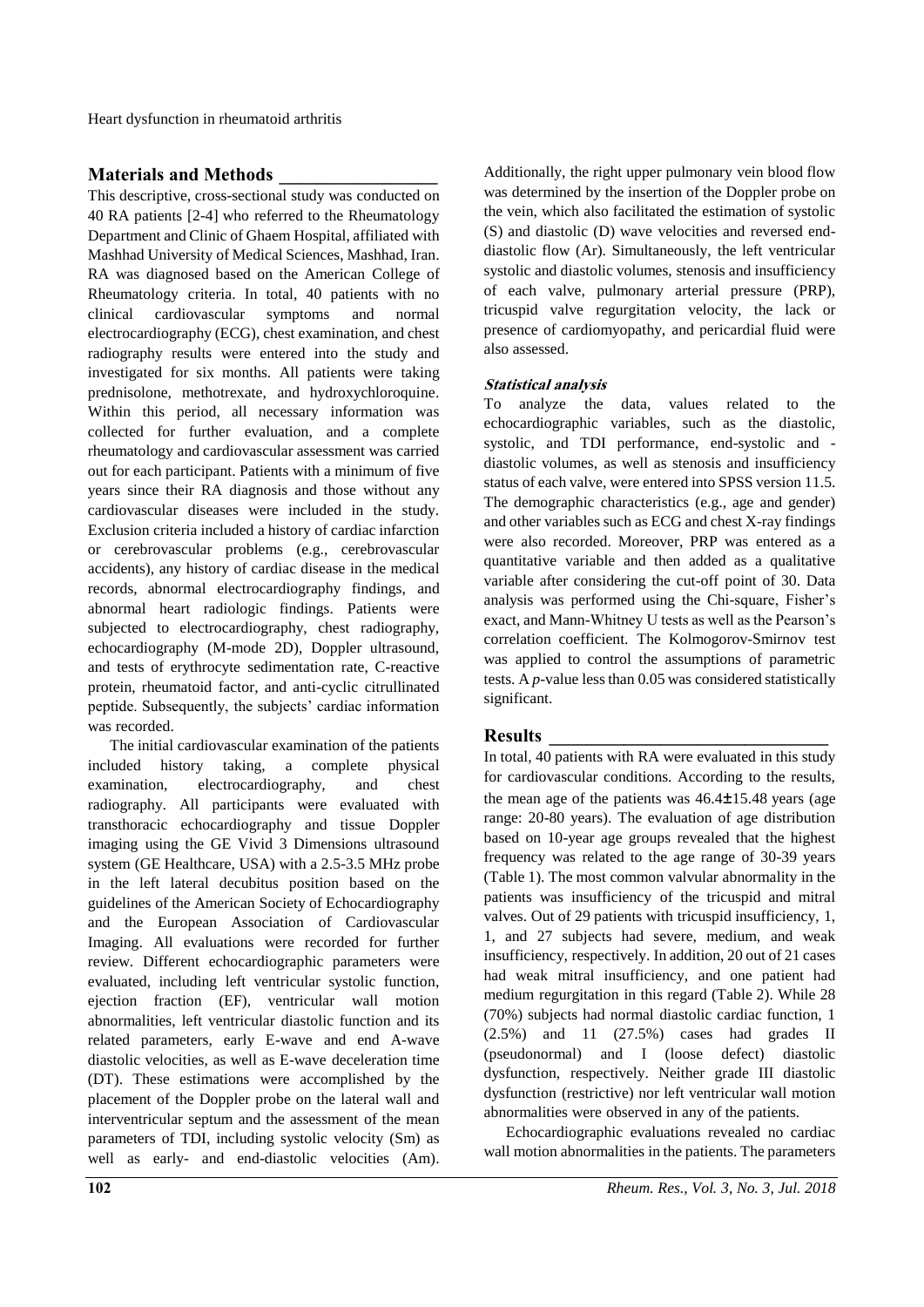Heart dysfunction in rheumatoid arthritis

# **Materials and Methods \_\_\_\_\_\_\_\_\_\_\_\_\_\_\_\_\_**

This descriptive, cross-sectional study was conducted on 40 RA patients [2-4] who referred to the Rheumatology Department and Clinic of Ghaem Hospital, affiliated with Mashhad University of Medical Sciences, Mashhad, Iran. RA was diagnosed based on the American College of Rheumatology criteria. In total, 40 patients with no clinical cardiovascular symptoms and normal electrocardiography (ECG), chest examination, and chest radiography results were entered into the study and investigated for six months. All patients were taking prednisolone, methotrexate, and hydroxychloroquine. Within this period, all necessary information was collected for further evaluation, and a complete rheumatology and cardiovascular assessment was carried out for each participant. Patients with a minimum of five years since their RA diagnosis and those without any cardiovascular diseases were included in the study. Exclusion criteria included a history of cardiac infarction or cerebrovascular problems (e.g., cerebrovascular accidents), any history of cardiac disease in the medical records, abnormal electrocardiography findings, and abnormal heart radiologic findings. Patients were subjected to electrocardiography, chest radiography, echocardiography (M-mode 2D), Doppler ultrasound, and tests of erythrocyte sedimentation rate, C-reactive protein, rheumatoid factor, and anti-cyclic citrullinated peptide. Subsequently, the subjects' cardiac information was recorded.

The initial cardiovascular examination of the patients included history taking, a complete physical examination, electrocardiography, and chest radiography. All participants were evaluated with transthoracic echocardiography and tissue Doppler imaging using the GE Vivid 3 Dimensions ultrasound system (GE Healthcare, USA) with a 2.5-3.5 MHz probe in the left lateral decubitus position based on the guidelines of the American Society of Echocardiography and the European Association of Cardiovascular Imaging. All evaluations were recorded for further review. Different echocardiographic parameters were evaluated, including left ventricular systolic function, ejection fraction (EF), ventricular wall motion abnormalities, left ventricular diastolic function and its related parameters, early E-wave and end A-wave diastolic velocities, as well as E-wave deceleration time (DT). These estimations were accomplished by the placement of the Doppler probe on the lateral wall and interventricular septum and the assessment of the mean parameters of TDI, including systolic velocity (Sm) as well as early- and end-diastolic velocities (Am).

Additionally, the right upper pulmonary vein blood flow was determined by the insertion of the Doppler probe on the vein, which also facilitated the estimation of systolic (S) and diastolic (D) wave velocities and reversed enddiastolic flow (Ar). Simultaneously, the left ventricular systolic and diastolic volumes, stenosis and insufficiency of each valve, pulmonary arterial pressure (PRP), tricuspid valve regurgitation velocity, the lack or presence of cardiomyopathy, and pericardial fluid were also assessed.

### **Statistical analysis**

To analyze the data, values related to the echocardiographic variables, such as the diastolic, systolic, and TDI performance, end-systolic and diastolic volumes, as well as stenosis and insufficiency status of each valve, were entered into SPSS version 11.5. The demographic characteristics (e.g., age and gender) and other variables such as ECG and chest X-ray findings were also recorded. Moreover, PRP was entered as a quantitative variable and then added as a qualitative variable after considering the cut-off point of 30. Data analysis was performed using the Chi-square, Fisher's exact, and Mann-Whitney U tests as well as the Pearson's correlation coefficient. The Kolmogorov-Smirnov test was applied to control the assumptions of parametric tests. A *p*-value less than 0.05 was considered statistically significant.

## **Results \_\_\_\_\_\_\_\_\_\_\_\_\_\_\_\_\_\_\_\_\_\_\_\_\_\_\_\_\_\_**

In total, 40 patients with RA were evaluated in this study for cardiovascular conditions. According to the results, the mean age of the patients was 46.4±15.48 years (age range: 20-80 years). The evaluation of age distribution based on 10-year age groups revealed that the highest frequency was related to the age range of 30-39 years (Table 1). The most common valvular abnormality in the patients was insufficiency of the tricuspid and mitral valves. Out of 29 patients with tricuspid insufficiency, 1, 1, and 27 subjects had severe, medium, and weak insufficiency, respectively. In addition, 20 out of 21 cases had weak mitral insufficiency, and one patient had medium regurgitation in this regard (Table 2). While 28 (70%) subjects had normal diastolic cardiac function, 1 (2.5%) and 11 (27.5%) cases had grades II (pseudonormal) and I (loose defect) diastolic dysfunction, respectively. Neither grade III diastolic dysfunction (restrictive) nor left ventricular wall motion abnormalities were observed in any of the patients.

Echocardiographic evaluations revealed no cardiac wall motion abnormalities in the patients. The parameters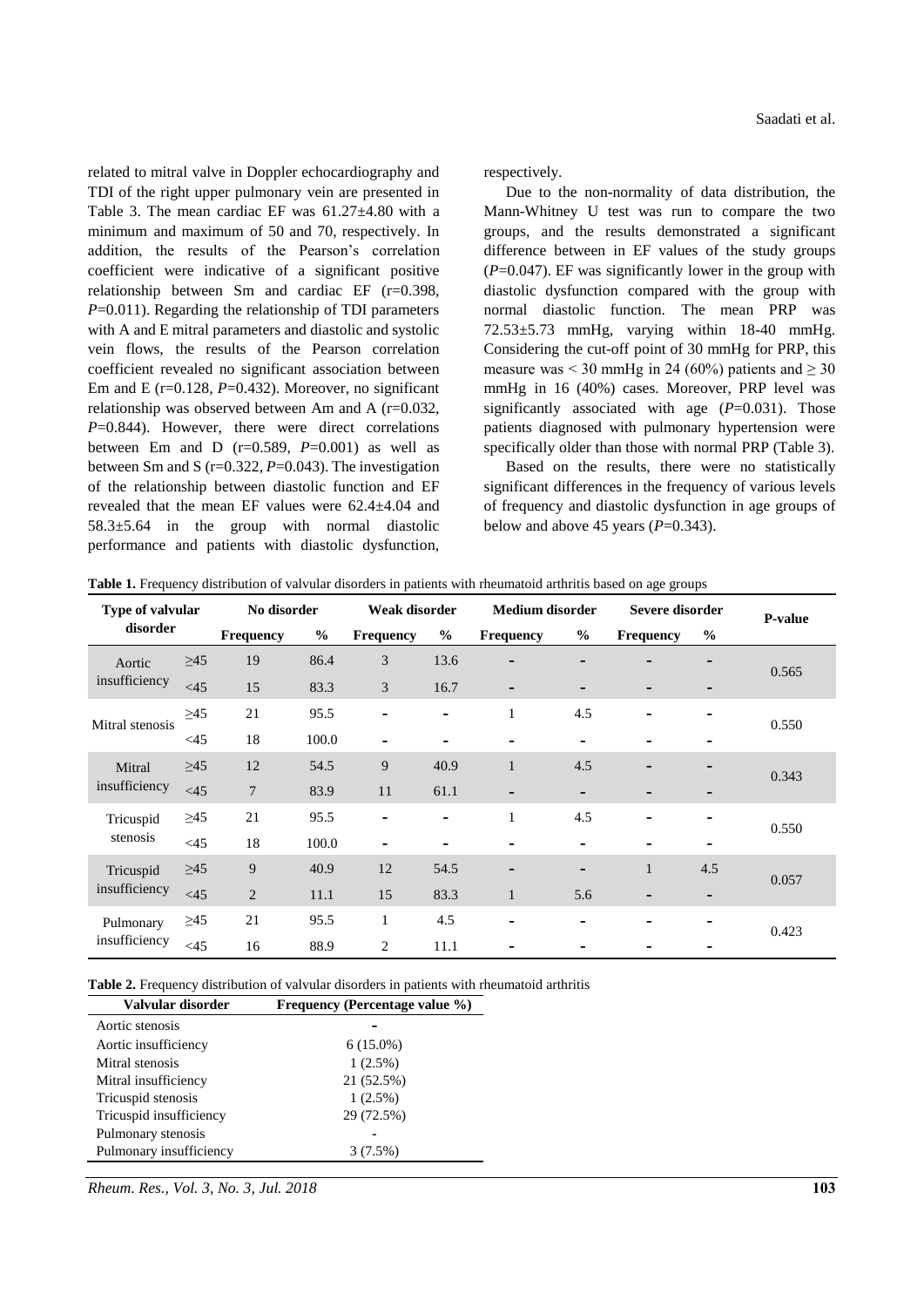related to mitral valve in Doppler echocardiography and TDI of the right upper pulmonary vein are presented in Table 3. The mean cardiac EF was 61.27±4.80 with a minimum and maximum of 50 and 70, respectively. In addition, the results of the Pearson's correlation coefficient were indicative of a significant positive relationship between Sm and cardiac EF (r=0.398, *P*=0.011). Regarding the relationship of TDI parameters with A and E mitral parameters and diastolic and systolic vein flows, the results of the Pearson correlation coefficient revealed no significant association between Em and E  $(r=0.128, P=0.432)$ . Moreover, no significant relationship was observed between Am and A (r=0.032, *P*=0.844). However, there were direct correlations between Em and D  $(r=0.589, P=0.001)$  as well as between Sm and S (r=0.322, *P*=0.043). The investigation of the relationship between diastolic function and EF revealed that the mean EF values were 62.4±4.04 and 58.3±5.64 in the group with normal diastolic performance and patients with diastolic dysfunction, respectively.

Due to the non-normality of data distribution, the Mann-Whitney U test was run to compare the two groups, and the results demonstrated a significant difference between in EF values of the study groups (*P*=0.047). EF was significantly lower in the group with diastolic dysfunction compared with the group with normal diastolic function. The mean PRP was 72.53±5.73 mmHg, varying within 18-40 mmHg. Considering the cut-off point of 30 mmHg for PRP, this measure was < 30 mmHg in 24 (60%) patients and  $\geq$  30 mmHg in 16 (40%) cases. Moreover, PRP level was significantly associated with age ( $P=0.031$ ). Those patients diagnosed with pulmonary hypertension were specifically older than those with normal PRP (Table 3).

Based on the results, there were no statistically significant differences in the frequency of various levels of frequency and diastolic dysfunction in age groups of below and above 45 years  $(P=0.343)$ .

| Table 1. Frequency distribution of valvular disorders in patients with rheumatoid arthritis based on age groups |  |  |
|-----------------------------------------------------------------------------------------------------------------|--|--|
|-----------------------------------------------------------------------------------------------------------------|--|--|

| Type of valvular<br>disorder |           | No disorder      |               | Weak disorder            |               | <b>Medium</b> disorder   |                          | Severe disorder  |               | P-value |
|------------------------------|-----------|------------------|---------------|--------------------------|---------------|--------------------------|--------------------------|------------------|---------------|---------|
|                              |           | <b>Frequency</b> | $\frac{0}{0}$ | <b>Frequency</b>         | $\frac{6}{6}$ | Frequency                | $\%$                     | <b>Frequency</b> | $\frac{0}{0}$ |         |
| Aortic                       | $\geq45$  | 19               | 86.4          | 3                        | 13.6          | ٠                        | -                        |                  |               | 0.565   |
| insufficiency                | $<$ 45    | 15               | 83.3          | 3                        | 16.7          | -                        | $\overline{\phantom{a}}$ |                  |               |         |
| Mitral stenosis              | $\geq 45$ | 21               | 95.5          | $\overline{\phantom{a}}$ | ٠             | 1                        | 4.5                      | -                | -             | 0.550   |
|                              | <45       | 18               | 100.0         |                          |               |                          | $\overline{\phantom{a}}$ |                  |               |         |
| Mitral                       | $\geq45$  | 12               | 54.5          | 9                        | 40.9          | $\mathbf{1}$             | 4.5                      |                  |               | 0.343   |
| insufficiency                | $<$ 45    | $7\phantom{.0}$  | 83.9          | 11                       | 61.1          | $\overline{\phantom{a}}$ | -                        |                  |               |         |
| Tricuspid                    | $\geq 45$ | 21               | 95.5          | $\blacksquare$           | ۰             | $\mathbf{1}$             | 4.5                      | ۰                |               | 0.550   |
| stenosis                     | <45       | 18               | 100.0         | ٠                        |               | -                        | $\overline{\phantom{a}}$ | -                |               |         |
| Tricuspid                    | $\geq45$  | 9                | 40.9          | 12                       | 54.5          | -                        | $\overline{\phantom{a}}$ | $\mathbf{1}$     | 4.5           | 0.057   |
| insufficiency                | $<$ 45    | 2                | 11.1          | 15                       | 83.3          | $\mathbf{1}$             | 5.6                      | -                | -             |         |
| Pulmonary                    | $\geq 45$ | 21               | 95.5          | $\mathbf{1}$             | 4.5           | -                        | -                        | ۰                | -             | 0.423   |
| insufficiency                | <45       | 16               | 88.9          | $\overline{c}$           | 11.1          |                          |                          |                  |               |         |

**Table 2.** Frequency distribution of valvular disorders in patients with rheumatoid arthritis

| Valvular disorder       | Frequency (Percentage value %) |
|-------------------------|--------------------------------|
| Aortic stenosis         |                                |
| Aortic insufficiency    | $6(15.0\%)$                    |
| Mitral stenosis         | $1(2.5\%)$                     |
| Mitral insufficiency    | 21 (52.5%)                     |
| Tricuspid stenosis      | $1(2.5\%)$                     |
| Tricuspid insufficiency | 29 (72.5%)                     |
| Pulmonary stenosis      |                                |
| Pulmonary insufficiency | $3(7.5\%)$                     |

*Rheum. Res., Vol. 3, No. 3, Jul. 2018* **103**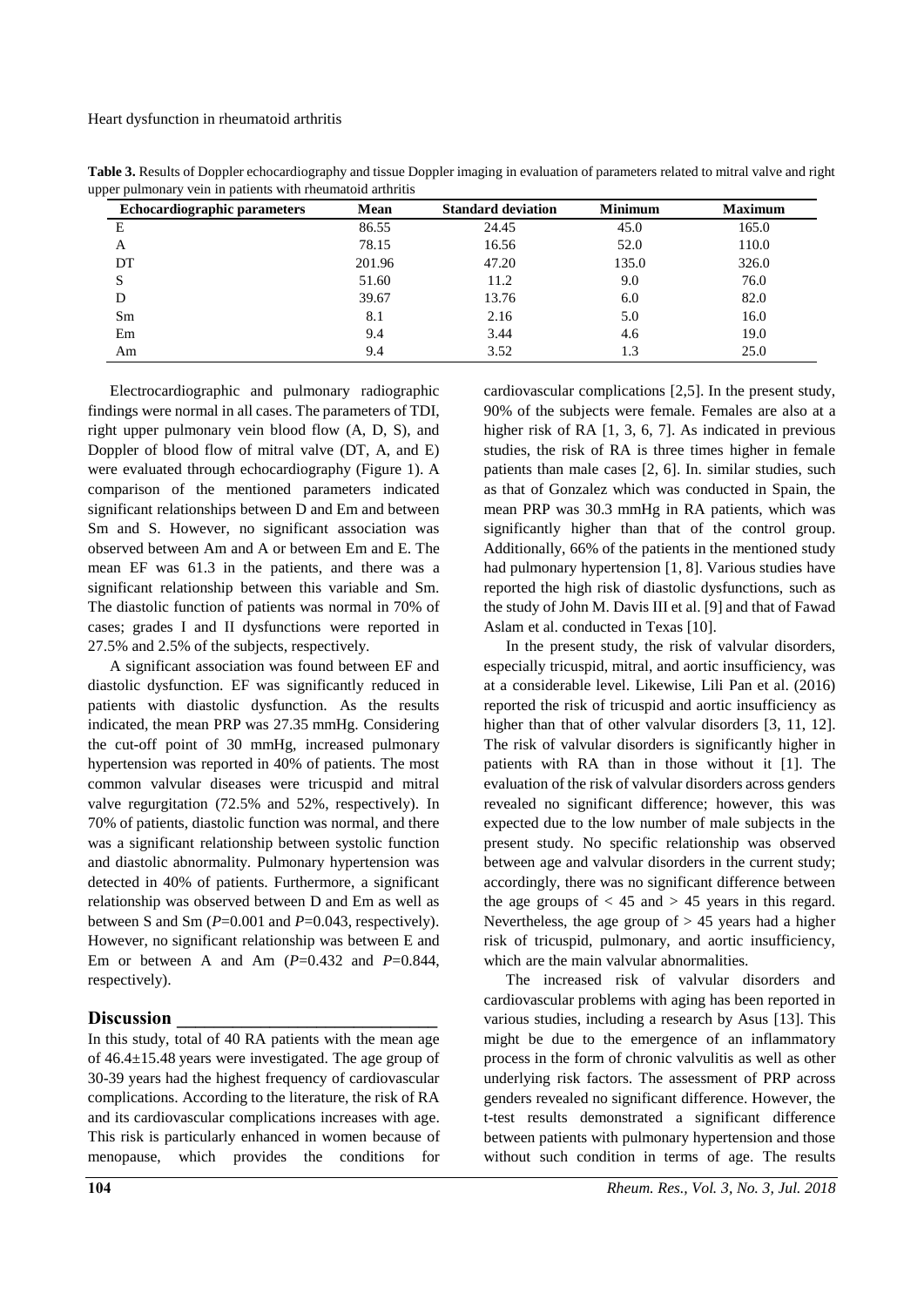Heart dysfunction in rheumatoid arthritis

| <b>Echocardiographic parameters</b> | Mean   | <b>Standard deviation</b> | <b>Minimum</b> | <b>Maximum</b> |
|-------------------------------------|--------|---------------------------|----------------|----------------|
| E                                   | 86.55  | 24.45                     | 45.0           | 165.0          |
| A                                   | 78.15  | 16.56                     | 52.0           | 110.0          |
| DT                                  | 201.96 | 47.20                     | 135.0          | 326.0          |
|                                     | 51.60  | 11.2                      | 9.0            | 76.0           |
|                                     | 39.67  | 13.76                     | 6.0            | 82.0           |
| Sm                                  | 8.1    | 2.16                      | 5.0            | 16.0           |
| Em                                  | 9.4    | 3.44                      | 4.6            | 19.0           |
| Am                                  | 9.4    | 3.52                      | 1.3            | 25.0           |

**Table 3.** Results of Doppler echocardiography and tissue Doppler imaging in evaluation of parameters related to mitral valve and right upper pulmonary vein in patients with rhe

Electrocardiographic and pulmonary radiographic findings were normal in all cases. The parameters of TDI, right upper pulmonary vein blood flow (A, D, S), and Doppler of blood flow of mitral valve (DT, A, and E) were evaluated through echocardiography (Figure 1). A comparison of the mentioned parameters indicated significant relationships between D and Em and between Sm and S. However, no significant association was observed between Am and A or between Em and E. The mean EF was 61.3 in the patients, and there was a significant relationship between this variable and Sm. The diastolic function of patients was normal in 70% of cases; grades I and II dysfunctions were reported in 27.5% and 2.5% of the subjects, respectively.

A significant association was found between EF and diastolic dysfunction. EF was significantly reduced in patients with diastolic dysfunction. As the results indicated, the mean PRP was 27.35 mmHg. Considering the cut-off point of 30 mmHg, increased pulmonary hypertension was reported in 40% of patients. The most common valvular diseases were tricuspid and mitral valve regurgitation (72.5% and 52%, respectively). In 70% of patients, diastolic function was normal, and there was a significant relationship between systolic function and diastolic abnormality. Pulmonary hypertension was detected in 40% of patients. Furthermore, a significant relationship was observed between D and Em as well as between S and Sm (*P*=0.001 and *P*=0.043, respectively). However, no significant relationship was between E and Em or between A and Am  $(P=0.432$  and  $P=0.844$ , respectively).

### **Discussion \_\_\_\_\_\_\_\_\_\_\_\_\_\_\_\_\_\_\_\_\_\_\_\_\_\_\_\_**

In this study, total of 40 RA patients with the mean age of 46.4±15.48 years were investigated. The age group of 30-39 years had the highest frequency of cardiovascular complications. According to the literature, the risk of RA and its cardiovascular complications increases with age. This risk is particularly enhanced in women because of menopause, which provides the conditions for

cardiovascular complications [2,5]. In the present study, 90% of the subjects were female. Females are also at a higher risk of RA [1, 3, 6, 7]. As indicated in previous studies, the risk of RA is three times higher in female patients than male cases [2, 6]. In. similar studies, such as that of Gonzalez which was conducted in Spain, the mean PRP was 30.3 mmHg in RA patients, which was significantly higher than that of the control group. Additionally, 66% of the patients in the mentioned study had pulmonary hypertension [1, 8]. Various studies have reported the high risk of diastolic dysfunctions, such as the study of John M. Davis III et al. [9] and that of Fawad Aslam et al. conducted in Texas [10].

In the present study, the risk of valvular disorders, especially tricuspid, mitral, and aortic insufficiency, was at a considerable level. Likewise, Lili Pan et al. (2016) reported the risk of tricuspid and aortic insufficiency as higher than that of other valvular disorders [3, 11, 12]. The risk of valvular disorders is significantly higher in patients with RA than in those without it [1]. The evaluation of the risk of valvular disorders across genders revealed no significant difference; however, this was expected due to the low number of male subjects in the present study. No specific relationship was observed between age and valvular disorders in the current study; accordingly, there was no significant difference between the age groups of  $<$  45 and  $>$  45 years in this regard. Nevertheless, the age group of  $> 45$  years had a higher risk of tricuspid, pulmonary, and aortic insufficiency, which are the main valvular abnormalities.

The increased risk of valvular disorders and cardiovascular problems with aging has been reported in various studies, including a research by Asus [13]. This might be due to the emergence of an inflammatory process in the form of chronic valvulitis as well as other underlying risk factors. The assessment of PRP across genders revealed no significant difference. However, the t-test results demonstrated a significant difference between patients with pulmonary hypertension and those without such condition in terms of age. The results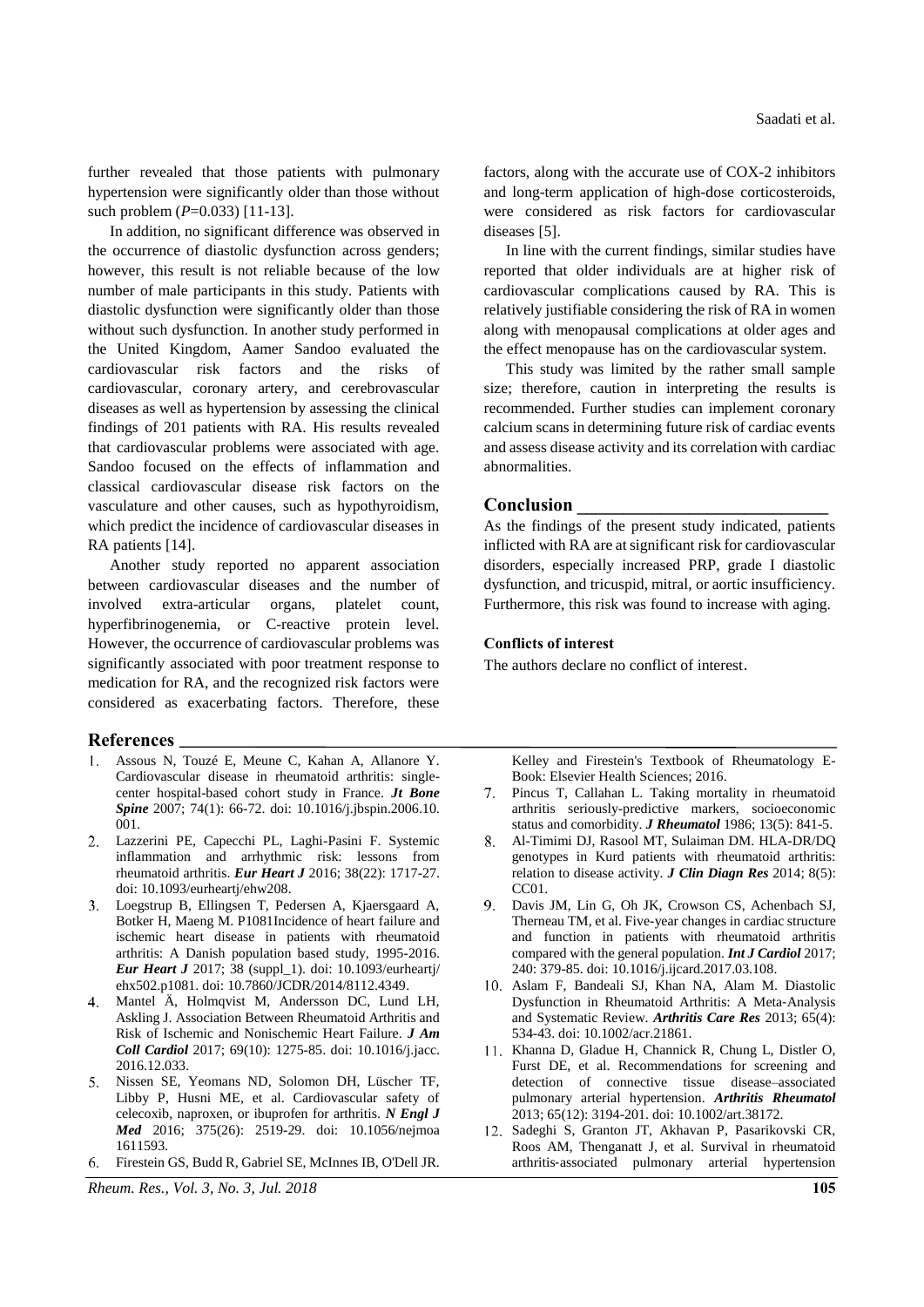further revealed that those patients with pulmonary hypertension were significantly older than those without such problem (*P*=0.033) [11-13].

In addition, no significant difference was observed in the occurrence of diastolic dysfunction across genders; however, this result is not reliable because of the low number of male participants in this study. Patients with diastolic dysfunction were significantly older than those without such dysfunction. In another study performed in the United Kingdom, Aamer Sandoo evaluated the cardiovascular risk factors and the risks of cardiovascular, coronary artery, and cerebrovascular diseases as well as hypertension by assessing the clinical findings of 201 patients with RA. His results revealed that cardiovascular problems were associated with age. Sandoo focused on the effects of inflammation and classical cardiovascular disease risk factors on the vasculature and other causes, such as hypothyroidism, which predict the incidence of cardiovascular diseases in RA patients [14].

Another study reported no apparent association between cardiovascular diseases and the number of involved extra-articular organs, platelet count, hyperfibrinogenemia, or C-reactive protein level. However, the occurrence of cardiovascular problems was significantly associated with poor treatment response to medication for RA, and the recognized risk factors were considered as exacerbating factors. Therefore, these

#### **References**

- Assous N, Touzé E, Meune C, Kahan A, Allanore Y. Cardiovascular disease in rheumatoid arthritis: singlecenter hospital-based cohort study in France. *Jt Bone Spine* 2007; 74(1): 66-72. doi: 10.1016/j.jbspin.2006.10. 001.
- Lazzerini PE, Capecchi PL, Laghi-Pasini F. Systemic inflammation and arrhythmic risk: lessons from rheumatoid arthritis. *Eur Heart J* 2016; 38(22): 1717-27. doi: 10.1093/eurheartj/ehw208.
- Loegstrup B, Ellingsen T, Pedersen A, Kjaersgaard A, Botker H, Maeng M. P1081Incidence of heart failure and ischemic heart disease in patients with rheumatoid arthritis: A Danish population based study, 1995-2016. *Eur Heart J* 2017; 38 (suppl\_1). doi: 10.1093/eurheartj/ ehx502.p1081. doi: 10.7860/JCDR/2014/8112.4349.
- Mantel Ä, Holmqvist M, Andersson DC, Lund LH, Askling J. Association Between Rheumatoid Arthritis and Risk of Ischemic and Nonischemic Heart Failure. *J Am Coll Cardiol* 2017; 69(10): 1275-85. doi: 10.1016/j.jacc. 2016.12.033.
- 5. Nissen SE, Yeomans ND, Solomon DH, Lüscher TF, Libby P, Husni ME, et al. Cardiovascular safety of celecoxib, naproxen, or ibuprofen for arthritis. *N Engl J Med* 2016; 375(26): 2519-29. doi: 10.1056/nejmoa 1611593.
- Firestein GS, Budd R, Gabriel SE, McInnes IB, O'Dell JR.

*Rheum. Res., Vol. 3, No. 3, Jul. 2018* **105**

factors, along with the accurate use of COX-2 inhibitors and long-term application of high-dose corticosteroids, were considered as risk factors for cardiovascular diseases [5].

In line with the current findings, similar studies have reported that older individuals are at higher risk of cardiovascular complications caused by RA. This is relatively justifiable considering the risk of RA in women along with menopausal complications at older ages and the effect menopause has on the cardiovascular system.

This study was limited by the rather small sample size; therefore, caution in interpreting the results is recommended. Further studies can implement coronary calcium scans in determining future risk of cardiac events and assess disease activity and its correlation with cardiac abnormalities.

### **Conclusion \_\_\_\_\_\_\_\_\_\_\_\_\_\_\_\_\_\_\_\_\_\_\_\_\_\_\_**

As the findings of the present study indicated, patients inflicted with RA are at significant risk for cardiovascular disorders, especially increased PRP, grade I diastolic dysfunction, and tricuspid, mitral, or aortic insufficiency. Furthermore, this risk was found to increase with aging.

#### **Conflicts of interest**

The authors declare no conflict of interest.

Kelley and Firestein's Textbook of Rheumatology E-Book: Elsevier Health Sciences; 2016.

- $7<sub>1</sub>$ Pincus T, Callahan L. Taking mortality in rheumatoid arthritis seriously-predictive markers, socioeconomic status and comorbidity. *J Rheumatol* 1986; 13(5): 841-5.
- Al-Timimi DJ, Rasool MT, Sulaiman DM. HLA-DR/DQ genotypes in Kurd patients with rheumatoid arthritis: relation to disease activity. *J Clin Diagn Res* 2014; 8(5): CC01.
- 9. Davis JM, Lin G, Oh JK, Crowson CS, Achenbach SJ, Therneau TM, et al. Five-year changes in cardiac structure and function in patients with rheumatoid arthritis compared with the general population. *Int J Cardiol* 2017; 240: 379-85. doi: 10.1016/j.ijcard.2017.03.108.
- Aslam F, Bandeali SJ, Khan NA, Alam M. Diastolic Dysfunction in Rheumatoid Arthritis: A Meta‐Analysis and Systematic Review. *Arthritis Care Res* 2013; 65(4): 534-43. doi: 10.1002/acr.21861.
- 11. Khanna D, Gladue H, Channick R, Chung L, Distler O, Furst DE, et al. Recommendations for screening and detection of connective tissue disease–associated pulmonary arterial hypertension. *Arthritis Rheumatol* 2013; 65(12): 3194-201. doi: 10.1002/art.38172.
- 12. Sadeghi S, Granton JT, Akhavan P, Pasarikovski CR, Roos AM, Thenganatt J, et al. Survival in rheumatoid arthritis‐associated pulmonary arterial hypertension